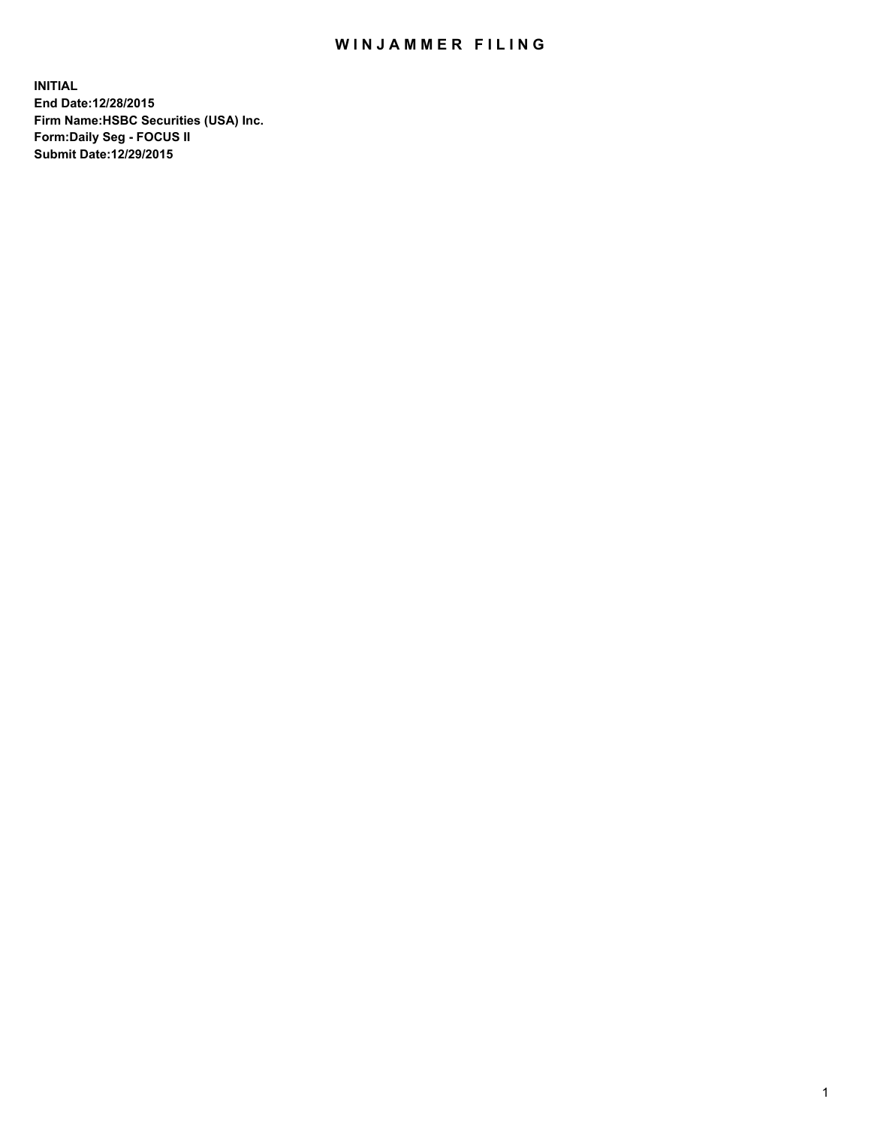## WIN JAMMER FILING

**INITIAL End Date:12/28/2015 Firm Name:HSBC Securities (USA) Inc. Form:Daily Seg - FOCUS II Submit Date:12/29/2015**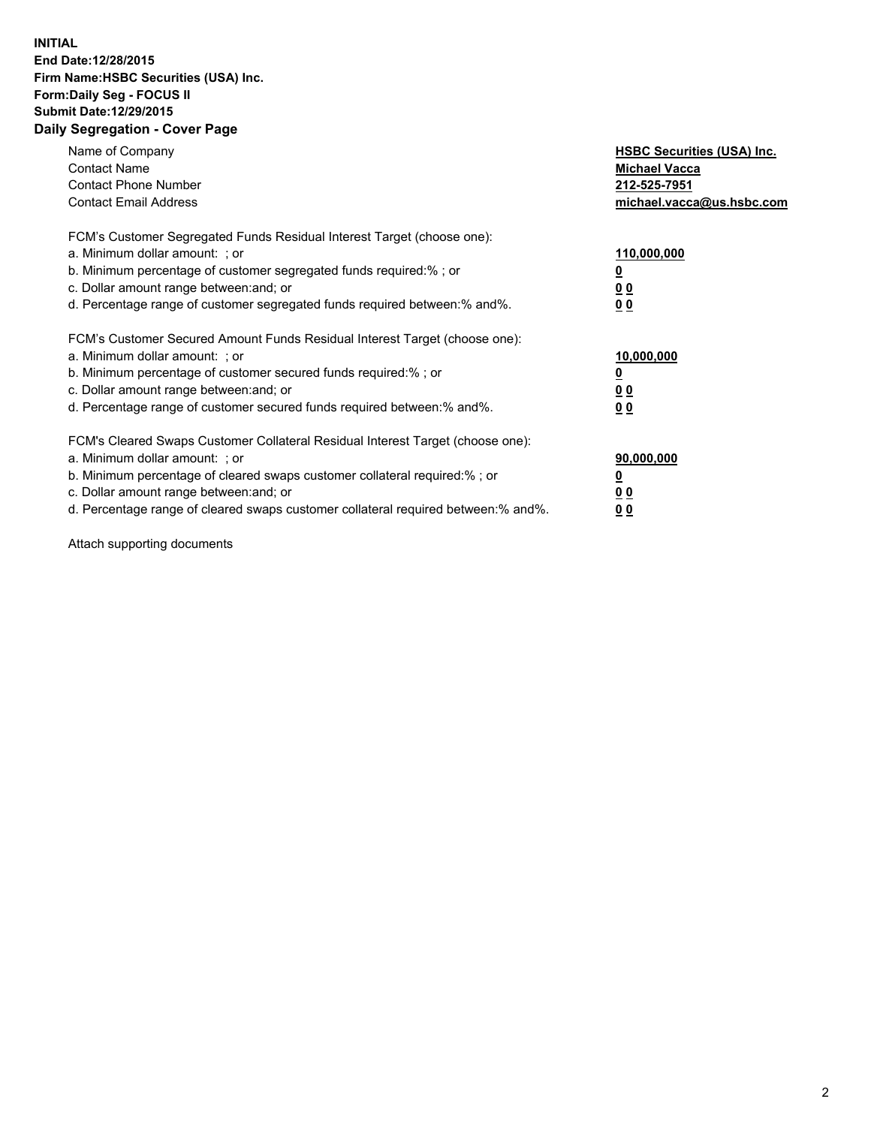## **INITIAL End Date:12/28/2015 Firm Name:HSBC Securities (USA) Inc. Form:Daily Seg - FOCUS II Submit Date:12/29/2015 Daily Segregation - Cover Page**

| Name of Company<br><b>Contact Name</b><br><b>Contact Phone Number</b><br><b>Contact Email Address</b>                                                                                                                                                                                                                         | <b>HSBC Securities (USA) Inc.</b><br><b>Michael Vacca</b><br>212-525-7951<br>michael.vacca@us.hsbc.com |
|-------------------------------------------------------------------------------------------------------------------------------------------------------------------------------------------------------------------------------------------------------------------------------------------------------------------------------|--------------------------------------------------------------------------------------------------------|
| FCM's Customer Segregated Funds Residual Interest Target (choose one):<br>a. Minimum dollar amount: ; or<br>b. Minimum percentage of customer segregated funds required:% ; or<br>c. Dollar amount range between: and; or<br>d. Percentage range of customer segregated funds required between: % and %.                      | 110,000,000<br><u>0</u><br>00<br>00                                                                    |
| FCM's Customer Secured Amount Funds Residual Interest Target (choose one):<br>a. Minimum dollar amount: ; or<br>b. Minimum percentage of customer secured funds required:%; or<br>c. Dollar amount range between: and; or<br>d. Percentage range of customer secured funds required between:% and%.                           | 10,000,000<br><u>0</u><br><u>00</u><br>0 <sub>0</sub>                                                  |
| FCM's Cleared Swaps Customer Collateral Residual Interest Target (choose one):<br>a. Minimum dollar amount: ; or<br>b. Minimum percentage of cleared swaps customer collateral required:%; or<br>c. Dollar amount range between: and; or<br>d. Percentage range of cleared swaps customer collateral required between:% and%. | 90,000,000<br><u>0</u><br>0 <sub>0</sub><br>0 <sub>0</sub>                                             |

Attach supporting documents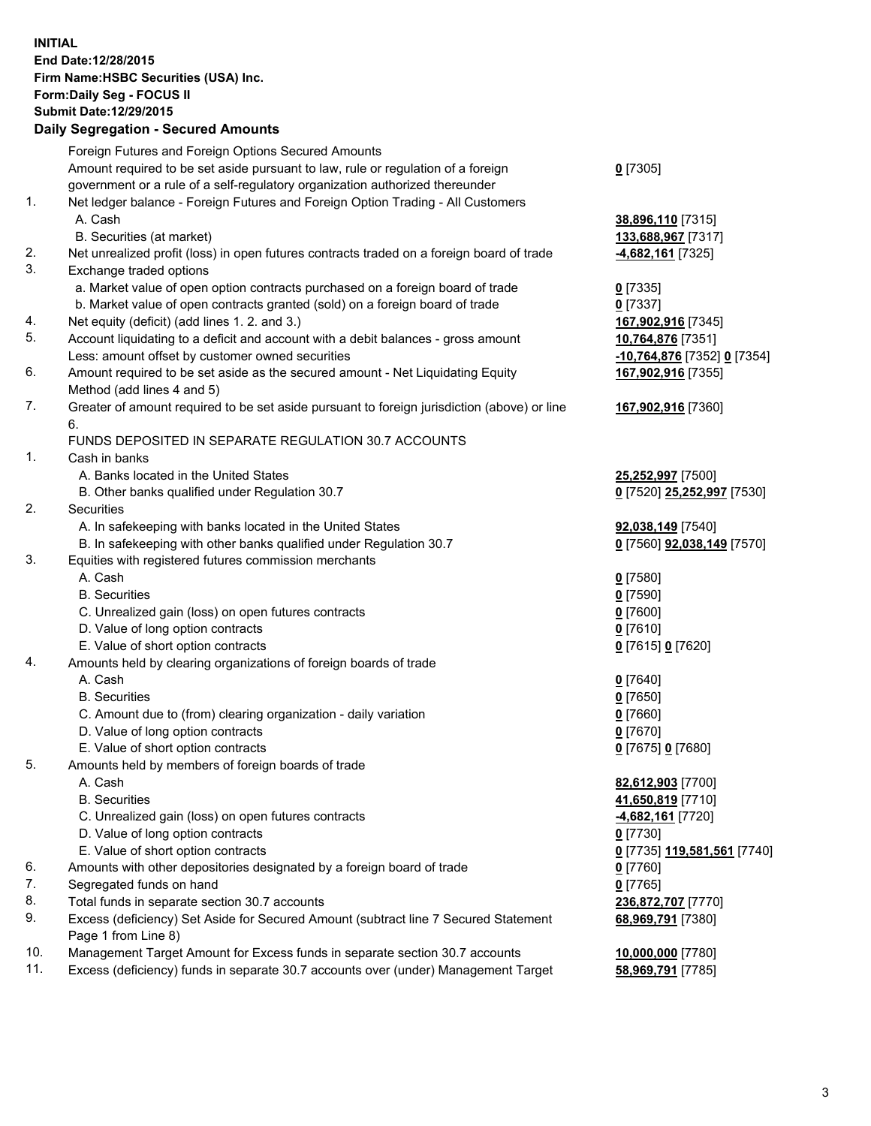**INITIAL End Date:12/28/2015 Firm Name:HSBC Securities (USA) Inc. Form:Daily Seg - FOCUS II Submit Date:12/29/2015**

## **Daily Segregation - Secured Amounts** Foreign Futures and Foreign Options Secured Amounts Amount required to be set aside pursuant to law, rule or regulation of a foreign government or a rule of a self-regulatory organization authorized thereunder **0** [7305] 1. Net ledger balance - Foreign Futures and Foreign Option Trading - All Customers A. Cash **38,896,110** [7315] B. Securities (at market) **133,688,967** [7317] 2. Net unrealized profit (loss) in open futures contracts traded on a foreign board of trade **-4,682,161** [7325] 3. Exchange traded options a. Market value of open option contracts purchased on a foreign board of trade **0** [7335] b. Market value of open contracts granted (sold) on a foreign board of trade **0** [7337] 4. Net equity (deficit) (add lines 1. 2. and 3.) **167,902,916** [7345] 5. Account liquidating to a deficit and account with a debit balances - gross amount **10,764,876** [7351] Less: amount offset by customer owned securities **-10,764,876** [7352] **0** [7354] 6. Amount required to be set aside as the secured amount - Net Liquidating Equity Method (add lines 4 and 5) **167,902,916** [7355] 7. Greater of amount required to be set aside pursuant to foreign jurisdiction (above) or line 6. **167,902,916** [7360] FUNDS DEPOSITED IN SEPARATE REGULATION 30.7 ACCOUNTS 1. Cash in banks A. Banks located in the United States **25,252,997** [7500] B. Other banks qualified under Regulation 30.7 **0** [7520] **25,252,997** [7530] 2. Securities A. In safekeeping with banks located in the United States **92,038,149** [7540] B. In safekeeping with other banks qualified under Regulation 30.7 **0** [7560] **92,038,149** [7570] 3. Equities with registered futures commission merchants A. Cash **0** [7580] B. Securities **0** [7590] C. Unrealized gain (loss) on open futures contracts **0** [7600] D. Value of long option contracts **0** [7610] E. Value of short option contracts **0** [7615] **0** [7620] 4. Amounts held by clearing organizations of foreign boards of trade A. Cash **0** [7640] B. Securities **0** [7650] C. Amount due to (from) clearing organization - daily variation **0** [7660] D. Value of long option contracts **0** [7670] E. Value of short option contracts **0** [7675] **0** [7680] 5. Amounts held by members of foreign boards of trade A. Cash **82,612,903** [7700] B. Securities **41,650,819** [7710] C. Unrealized gain (loss) on open futures contracts **-4,682,161** [7720] D. Value of long option contracts **0** [7730] E. Value of short option contracts **0** [7735] **119,581,561** [7740] 6. Amounts with other depositories designated by a foreign board of trade **0** [7760] 7. Segregated funds on hand **0** [7765] 8. Total funds in separate section 30.7 accounts **236,872,707** [7770] 9. Excess (deficiency) Set Aside for Secured Amount (subtract line 7 Secured Statement Page 1 from Line 8) **68,969,791** [7380]

10. Management Target Amount for Excess funds in separate section 30.7 accounts **10,000,000** [7780]

11. Excess (deficiency) funds in separate 30.7 accounts over (under) Management Target **58,969,791** [7785]

3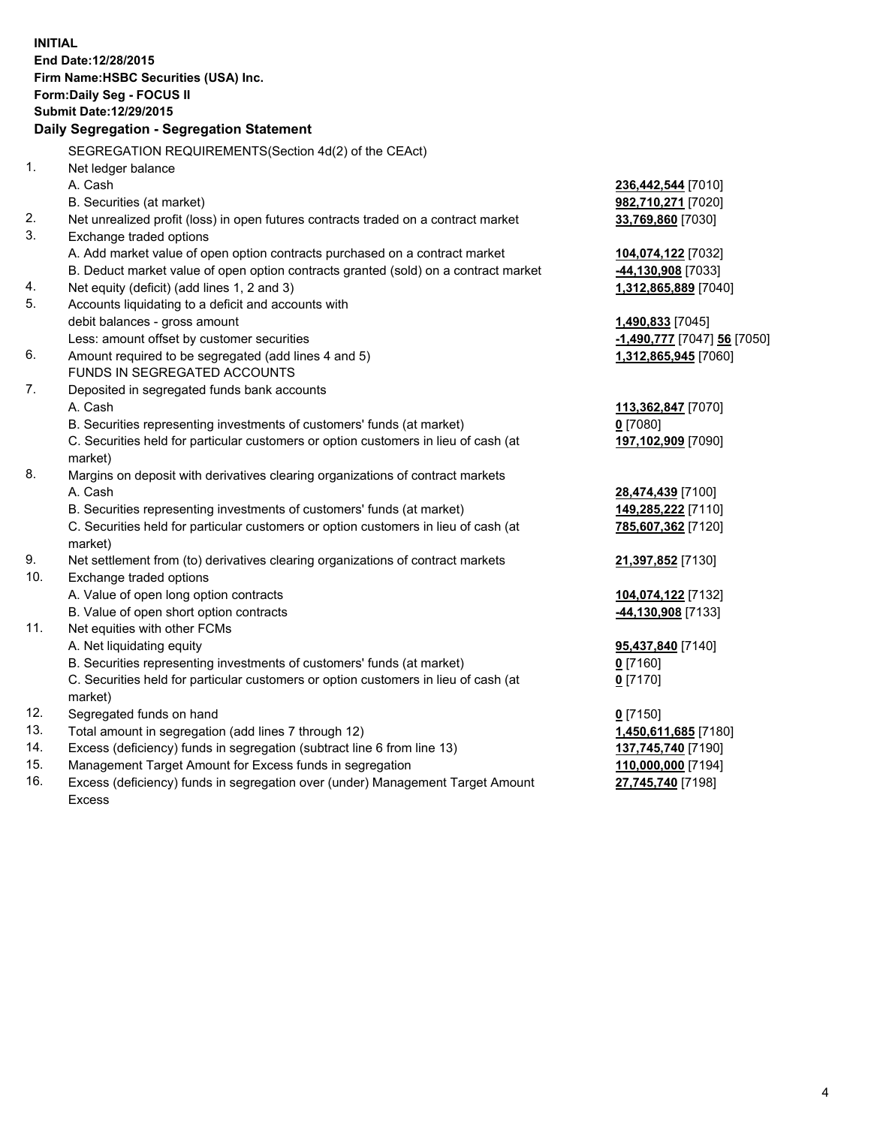**INITIAL End Date:12/28/2015 Firm Name:HSBC Securities (USA) Inc. Form:Daily Seg - FOCUS II Submit Date:12/29/2015 Daily Segregation - Segregation Statement** SEGREGATION REQUIREMENTS(Section 4d(2) of the CEAct) 1. Net ledger balance A. Cash **236,442,544** [7010] B. Securities (at market) **982,710,271** [7020] 2. Net unrealized profit (loss) in open futures contracts traded on a contract market **33,769,860** [7030] 3. Exchange traded options A. Add market value of open option contracts purchased on a contract market **104,074,122** [7032] B. Deduct market value of open option contracts granted (sold) on a contract market **-44,130,908** [7033] 4. Net equity (deficit) (add lines 1, 2 and 3) **1,312,865,889** [7040] 5. Accounts liquidating to a deficit and accounts with debit balances - gross amount **1,490,833** [7045] Less: amount offset by customer securities **-1,490,777** [7047] **56** [7050] 6. Amount required to be segregated (add lines 4 and 5) **1,312,865,945** [7060] FUNDS IN SEGREGATED ACCOUNTS 7. Deposited in segregated funds bank accounts A. Cash **113,362,847** [7070] B. Securities representing investments of customers' funds (at market) **0** [7080] C. Securities held for particular customers or option customers in lieu of cash (at market) **197,102,909** [7090] 8. Margins on deposit with derivatives clearing organizations of contract markets A. Cash **28,474,439** [7100] B. Securities representing investments of customers' funds (at market) **149,285,222** [7110] C. Securities held for particular customers or option customers in lieu of cash (at market) **785,607,362** [7120] 9. Net settlement from (to) derivatives clearing organizations of contract markets **21,397,852** [7130] 10. Exchange traded options A. Value of open long option contracts **104,074,122** [7132] B. Value of open short option contracts **-44,130,908** [7133] 11. Net equities with other FCMs A. Net liquidating equity **95,437,840** [7140] B. Securities representing investments of customers' funds (at market) **0** [7160] C. Securities held for particular customers or option customers in lieu of cash (at market) **0** [7170] 12. Segregated funds on hand **0** [7150] 13. Total amount in segregation (add lines 7 through 12) **1,450,611,685** [7180] 14. Excess (deficiency) funds in segregation (subtract line 6 from line 13) **137,745,740** [7190] 15. Management Target Amount for Excess funds in segregation **110,000,000** [7194]

16. Excess (deficiency) funds in segregation over (under) Management Target Amount Excess

**27,745,740** [7198]